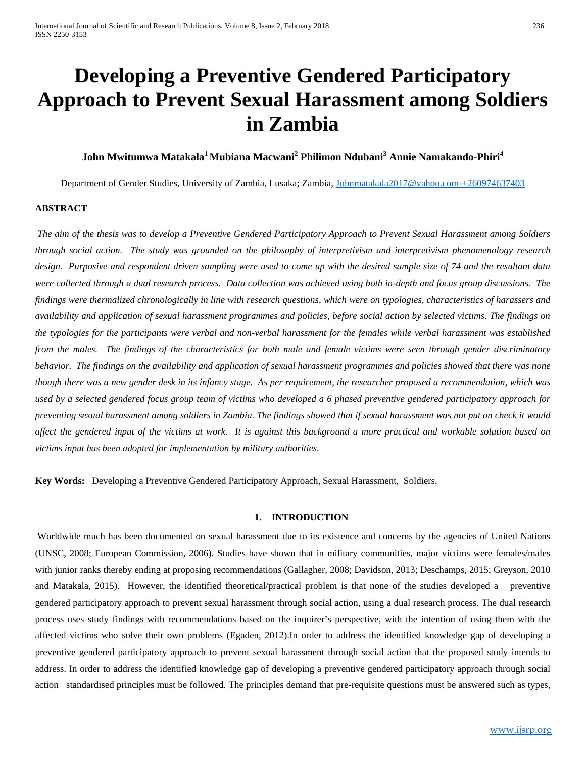# **Developing a Preventive Gendered Participatory Approach to Prevent Sexual Harassment among Soldiers in Zambia**

# **John Mwitumwa Matakala1 Mubiana Macwani2 Philimon Ndubani<sup>3</sup> Annie Namakando-Phiri<sup>4</sup>**

Department of Gender Studies, University of Zambia, Lusaka; Zambia, [Johnmatakala2017@yahoo.com-+260974637403](mailto:Johnmatakala2017@yahoo.com-+260974637403)

### **ABSTRACT**

*The aim of the thesis was to develop a Preventive Gendered Participatory Approach to Prevent Sexual Harassment among Soldiers through social action. The study was grounded on the philosophy of interpretivism and interpretivism phenomenology research design. Purposive and respondent driven sampling were used to come up with the desired sample size of 74 and the resultant data were collected through a dual research process. Data collection was achieved using both in-depth and focus group discussions. The findings were thermalized chronologically in line with research questions, which were on typologies, characteristics of harassers and availability and application of sexual harassment programmes and policies, before social action by selected victims. The findings on the typologies for the participants were verbal and non-verbal harassment for the females while verbal harassment was established from the males. The findings of the characteristics for both male and female victims were seen through gender discriminatory behavior. The findings on the availability and application of sexual harassment programmes and policies showed that there was none though there was a new gender desk in its infancy stage. As per requirement, the researcher proposed a recommendation, which was used by a selected gendered focus group team of victims who developed a 6 phased preventive gendered participatory approach for preventing sexual harassment among soldiers in Zambia. The findings showed that if sexual harassment was not put on check it would affect the gendered input of the victims at work. It is against this background a more practical and workable solution based on victims input has been adopted for implementation by military authorities.*

**Key Words:** Developing a Preventive Gendered Participatory Approach, Sexual Harassment, Soldiers.

#### **1. INTRODUCTION**

Worldwide much has been documented on sexual harassment due to its existence and concerns by the agencies of United Nations (UNSC, 2008; European Commission, 2006). Studies have shown that in military communities, major victims were females/males with junior ranks thereby ending at proposing recommendations (Gallagher, 2008; Davidson, 2013; Deschamps, 2015; Greyson, 2010 and Matakala, 2015). However, the identified theoretical/practical problem is that none of the studies developed a preventive gendered participatory approach to prevent sexual harassment through social action, using a dual research process. The dual research process uses study findings with recommendations based on the inquirer's perspective, with the intention of using them with the affected victims who solve their own problems (Egaden, 2012).In order to address the identified knowledge gap of developing a preventive gendered participatory approach to prevent sexual harassment through social action that the proposed study intends to address. In order to address the identified knowledge gap of developing a preventive gendered participatory approach through social action standardised principles must be followed. The principles demand that pre-requisite questions must be answered such as types,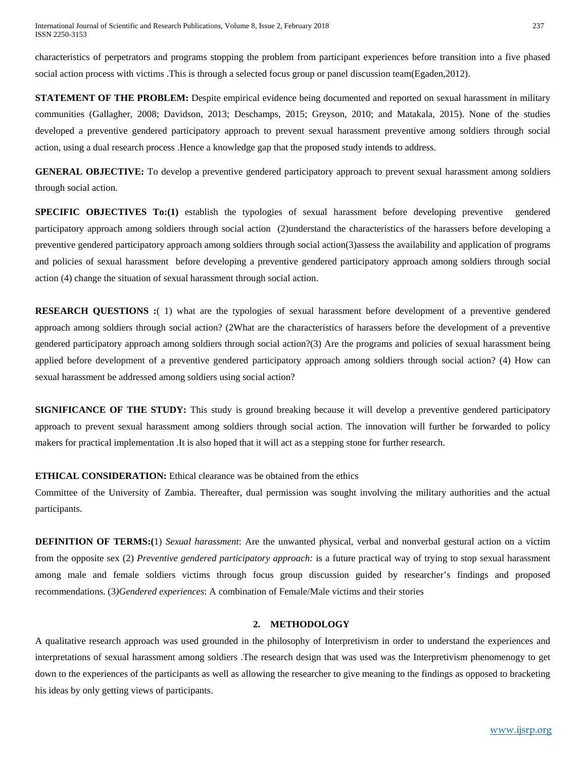characteristics of perpetrators and programs stopping the problem from participant experiences before transition into a five phased social action process with victims .This is through a selected focus group or panel discussion team(Egaden,2012).

**STATEMENT OF THE PROBLEM:** Despite empirical evidence being documented and reported on sexual harassment in military communities (Gallagher, 2008; Davidson, 2013; Deschamps, 2015; Greyson, 2010; and Matakala, 2015). None of the studies developed a preventive gendered participatory approach to prevent sexual harassment preventive among soldiers through social action, using a dual research process .Hence a knowledge gap that the proposed study intends to address.

**GENERAL OBJECTIVE:** To develop a preventive gendered participatory approach to prevent sexual harassment among soldiers through social action.

**SPECIFIC OBJECTIVES To:**(1) establish the typologies of sexual harassment before developing preventive gendered participatory approach among soldiers through social action (2)understand the characteristics of the harassers before developing a preventive gendered participatory approach among soldiers through social action(3)assess the availability and application of programs and policies of sexual harassment before developing a preventive gendered participatory approach among soldiers through social action (4) change the situation of sexual harassment through social action.

**RESEARCH QUESTIONS :**( 1) what are the typologies of sexual harassment before development of a preventive gendered approach among soldiers through social action? (2What are the characteristics of harassers before the development of a preventive gendered participatory approach among soldiers through social action?(3) Are the programs and policies of sexual harassment being applied before development of a preventive gendered participatory approach among soldiers through social action? (4) How can sexual harassment be addressed among soldiers using social action?

**SIGNIFICANCE OF THE STUDY:** This study is ground breaking because it will develop a preventive gendered participatory approach to prevent sexual harassment among soldiers through social action. The innovation will further be forwarded to policy makers for practical implementation .It is also hoped that it will act as a stepping stone for further research.

# **ETHICAL CONSIDERATION:** Ethical clearance was be obtained from the ethics

Committee of the University of Zambia. Thereafter, dual permission was sought involving the military authorities and the actual participants.

**DEFINITION OF TERMS:(**1) *Sexual harassment*: Are the unwanted physical, verbal and nonverbal gestural action on a victim from the opposite sex (2) *Preventive gendered participatory approach:* is a future practical way of trying to stop sexual harassment among male and female soldiers victims through focus group discussion guided by researcher's findings and proposed recommendations. (3*)Gendered experiences*: A combination of Female/Male victims and their stories

### **2. METHODOLOGY**

A qualitative research approach was used grounded in the philosophy of Interpretivism in order to understand the experiences and interpretations of sexual harassment among soldiers .The research design that was used was the Interpretivism phenomenogy to get down to the experiences of the participants as well as allowing the researcher to give meaning to the findings as opposed to bracketing his ideas by only getting views of participants.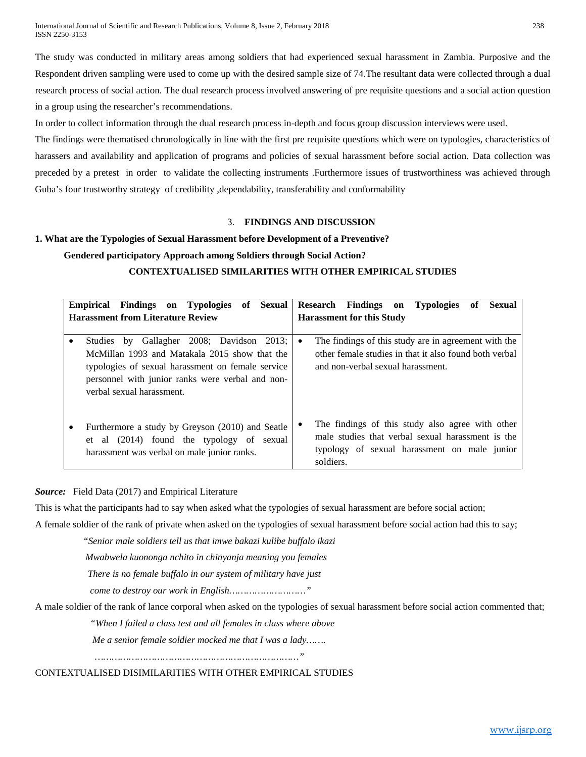International Journal of Scientific and Research Publications, Volume 8, Issue 2, February 2018 238 ISSN 2250-3153

The study was conducted in military areas among soldiers that had experienced sexual harassment in Zambia. Purposive and the Respondent driven sampling were used to come up with the desired sample size of 74. The resultant data were collected through a dual research process of social action. The dual research process involved answering of pre requisite questions and a social action question in a group using the researcher's recommendations.

In order to collect information through the dual research process in-depth and focus group discussion interviews were used.

The findings were thematised chronologically in line with the first pre requisite questions which were on typologies, characteristics of harassers and availability and application of programs and policies of sexual harassment before social action. Data collection was preceded by a pretest in order to validate the collecting instruments .Furthermore issues of trustworthiness was achieved through Guba's four trustworthy strategy of credibility, dependability, transferability and conformability

## 3. **FINDINGS AND DISCUSSION**

### **1. What are the Typologies of Sexual Harassment before Development of a Preventive?**

### **Gendered participatory Approach among Soldiers through Social Action?**

# **CONTEXTUALISED SIMILARITIES WITH OTHER EMPIRICAL STUDIES**

|                                          | Empirical Findings on Typologies of Sexual                                                                                                                                                          | Research Findings on Typologies<br>of                                                                                                                              | Sexual |  |
|------------------------------------------|-----------------------------------------------------------------------------------------------------------------------------------------------------------------------------------------------------|--------------------------------------------------------------------------------------------------------------------------------------------------------------------|--------|--|
| <b>Harassment from Literature Review</b> |                                                                                                                                                                                                     | <b>Harassment for this Study</b>                                                                                                                                   |        |  |
|                                          | Studies by Gallagher 2008; Davidson 2013;<br>McMillan 1993 and Matakala 2015 show that the<br>typologies of sexual harassment on female service<br>personnel with junior ranks were verbal and non- | The findings of this study are in agreement with the<br>$\bullet$<br>other female studies in that it also found both verbal<br>and non-verbal sexual harassment.   |        |  |
|                                          | verbal sexual harassment.<br>Furthermore a study by Greyson (2010) and Seatle<br>al (2014) found the typology of sexual<br>et<br>harassment was verbal on male junior ranks.                        | The findings of this study also agree with other<br>male studies that verbal sexual harassment is the<br>typology of sexual harassment on male junior<br>soldiers. |        |  |

*Source:* Field Data (2017) and Empirical Literature

This is what the participants had to say when asked what the typologies of sexual harassment are before social action;

A female soldier of the rank of private when asked on the typologies of sexual harassment before social action had this to say;

*"Senior male soldiers tell us that imwe bakazi kulibe buffalo ikazi*

 *Mwabwela kuononga nchito in chinyanja meaning you females*

 *There is no female buffalo in our system of military have just*

 *come to destroy our work in English………………………"*

A male soldier of the rank of lance corporal when asked on the typologies of sexual harassment before social action commented that;

*"When I failed a class test and all females in class where above*

 *Me a senior female soldier mocked me that I was a lady…….*

 *………………………………………………………………"*

CONTEXTUALISED DISIMILARITIES WITH OTHER EMPIRICAL STUDIES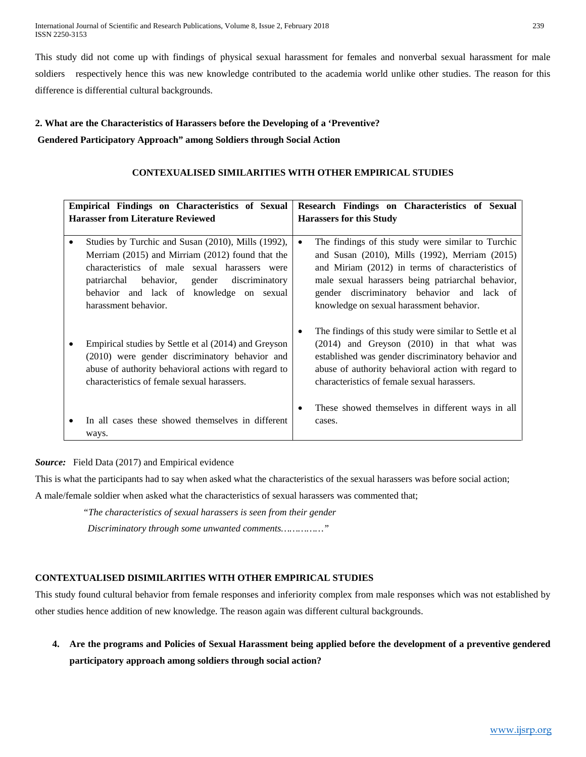International Journal of Scientific and Research Publications, Volume 8, Issue 2, February 2018 239 ISSN 2250-3153

This study did not come up with findings of physical sexual harassment for females and nonverbal sexual harassment for male soldiers respectively hence this was new knowledge contributed to the academia world unlike other studies. The reason for this difference is differential cultural backgrounds.

# **2. What are the Characteristics of Harassers before the Developing of a 'Preventive? Gendered Participatory Approach" among Soldiers through Social Action**

# **CONTEXUALISED SIMILARITIES WITH OTHER EMPIRICAL STUDIES**

| Empirical Findings on Characteristics of Sexual |                                                      |                                 | Research Findings on Characteristics of Sexual          |  |  |
|-------------------------------------------------|------------------------------------------------------|---------------------------------|---------------------------------------------------------|--|--|
| <b>Harasser from Literature Reviewed</b>        |                                                      | <b>Harassers for this Study</b> |                                                         |  |  |
|                                                 |                                                      |                                 |                                                         |  |  |
| ٠                                               | Studies by Turchic and Susan (2010), Mills (1992),   | $\bullet$                       | The findings of this study were similar to Turchic      |  |  |
|                                                 | Merriam (2015) and Mirriam (2012) found that the     |                                 | and Susan (2010), Mills (1992), Merriam (2015)          |  |  |
|                                                 | characteristics of male sexual harassers were        |                                 | and Miriam (2012) in terms of characteristics of        |  |  |
|                                                 | patriarchal behavior, gender discriminatory          |                                 | male sexual harassers being patriarchal behavior,       |  |  |
|                                                 | behavior and lack of knowledge on sexual             |                                 | gender discriminatory behavior and lack of              |  |  |
|                                                 | harassment behavior.                                 |                                 | knowledge on sexual harassment behavior.                |  |  |
|                                                 |                                                      |                                 |                                                         |  |  |
|                                                 |                                                      |                                 | The findings of this study were similar to Settle et al |  |  |
| ٠                                               | Empirical studies by Settle et al (2014) and Greyson |                                 | $(2014)$ and Greyson $(2010)$ in that what was          |  |  |
|                                                 | (2010) were gender discriminatory behavior and       |                                 | established was gender discriminatory behavior and      |  |  |
|                                                 | abuse of authority behavioral actions with regard to |                                 | abuse of authority behavioral action with regard to     |  |  |
|                                                 | characteristics of female sexual harassers.          |                                 | characteristics of female sexual harassers.             |  |  |
|                                                 |                                                      |                                 |                                                         |  |  |
|                                                 |                                                      | ٠                               | These showed themselves in different ways in all        |  |  |
| ٠                                               | In all cases these showed themselves in different    |                                 | cases.                                                  |  |  |
|                                                 | ways.                                                |                                 |                                                         |  |  |

*Source:* Field Data (2017) and Empirical evidence

This is what the participants had to say when asked what the characteristics of the sexual harassers was before social action;

A male/female soldier when asked what the characteristics of sexual harassers was commented that;

*"The characteristics of sexual harassers is seen from their gender*

 *Discriminatory through some unwanted comments……………"*

# **CONTEXTUALISED DISIMILARITIES WITH OTHER EMPIRICAL STUDIES**

This study found cultural behavior from female responses and inferiority complex from male responses which was not established by other studies hence addition of new knowledge. The reason again was different cultural backgrounds.

**4. Are the programs and Policies of Sexual Harassment being applied before the development of a preventive gendered participatory approach among soldiers through social action?**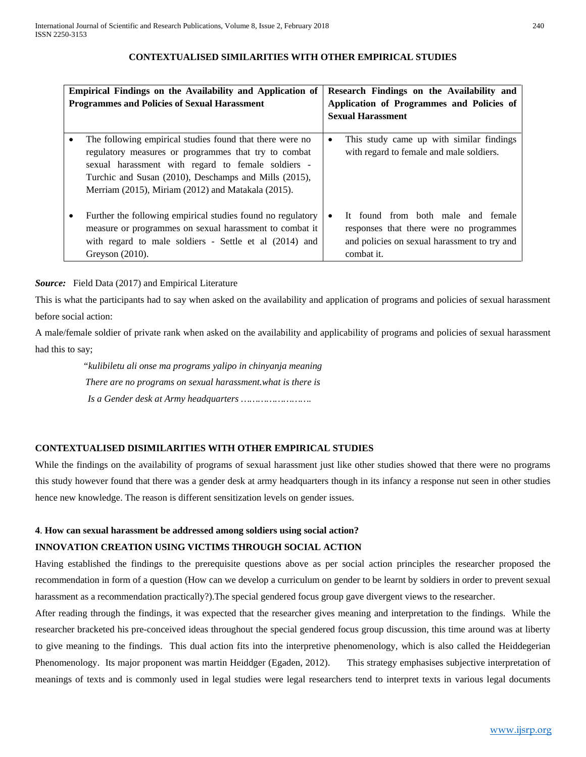## **CONTEXTUALISED SIMILARITIES WITH OTHER EMPIRICAL STUDIES**

| Empirical Findings on the Availability and Application of<br><b>Programmes and Policies of Sexual Harassment</b> |                                                                                                                                                                                                                                                                                       | Research Findings on the Availability and<br>Application of Programmes and Policies of<br><b>Sexual Harassment</b> |                                                                                                                                             |  |
|------------------------------------------------------------------------------------------------------------------|---------------------------------------------------------------------------------------------------------------------------------------------------------------------------------------------------------------------------------------------------------------------------------------|--------------------------------------------------------------------------------------------------------------------|---------------------------------------------------------------------------------------------------------------------------------------------|--|
|                                                                                                                  | The following empirical studies found that there were no<br>regulatory measures or programmes that try to combat<br>sexual harassment with regard to female soldiers -<br>Turchic and Susan (2010), Deschamps and Mills (2015),<br>Merriam (2015), Miriam (2012) and Matakala (2015). | ٠                                                                                                                  | This study came up with similar findings<br>with regard to female and male soldiers.                                                        |  |
|                                                                                                                  | Further the following empirical studies found no regulatory<br>measure or programmes on sexual harassment to combat it<br>with regard to male soldiers - Settle et al (2014) and<br>Greyson $(2010)$ .                                                                                |                                                                                                                    | It found from both male and female<br>responses that there were no programmes<br>and policies on sexual harassment to try and<br>combat it. |  |

# *Source:* Field Data (2017) and Empirical Literature

This is what the participants had to say when asked on the availability and application of programs and policies of sexual harassment before social action:

A male/female soldier of private rank when asked on the availability and applicability of programs and policies of sexual harassment had this to say;

 *"kulibiletu ali onse ma programs yalipo in chinyanja meaning There are no programs on sexual harassment.what is there is Is a Gender desk at Army headquarters …………………….*

# **CONTEXTUALISED DISIMILARITIES WITH OTHER EMPIRICAL STUDIES**

While the findings on the availability of programs of sexual harassment just like other studies showed that there were no programs this study however found that there was a gender desk at army headquarters though in its infancy a response nut seen in other studies hence new knowledge. The reason is different sensitization levels on gender issues.

# **4**. **How can sexual harassment be addressed among soldiers using social action?**

# **INNOVATION CREATION USING VICTIMS THROUGH SOCIAL ACTION**

Having established the findings to the prerequisite questions above as per social action principles the researcher proposed the recommendation in form of a question (How can we develop a curriculum on gender to be learnt by soldiers in order to prevent sexual harassment as a recommendation practically?).The special gendered focus group gave divergent views to the researcher.

After reading through the findings, it was expected that the researcher gives meaning and interpretation to the findings. While the researcher bracketed his pre-conceived ideas throughout the special gendered focus group discussion, this time around was at liberty to give meaning to the findings. This dual action fits into the interpretive phenomenology, which is also called the Heiddegerian Phenomenology. Its major proponent was martin Heiddger (Egaden, 2012). This strategy emphasises subjective interpretation of meanings of texts and is commonly used in legal studies were legal researchers tend to interpret texts in various legal documents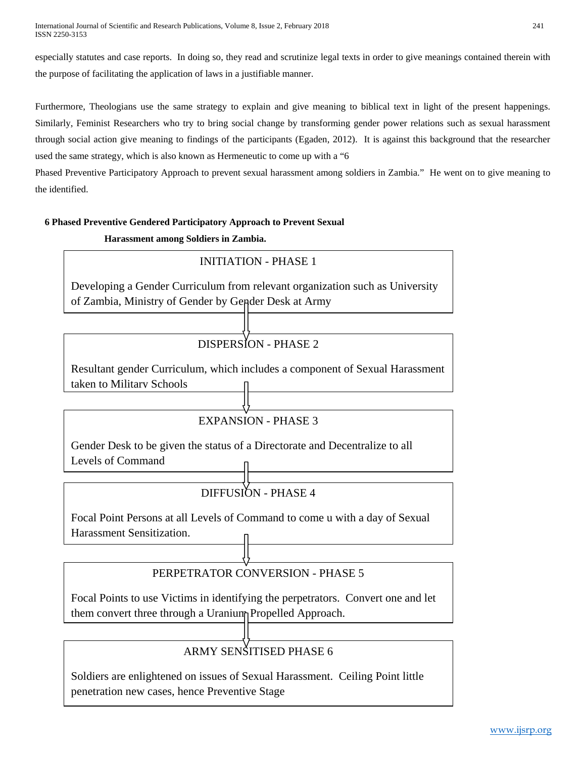especially statutes and case reports. In doing so, they read and scrutinize legal texts in order to give meanings contained therein with the purpose of facilitating the application of laws in a justifiable manner.

Furthermore, Theologians use the same strategy to explain and give meaning to biblical text in light of the present happenings. Similarly, Feminist Researchers who try to bring social change by transforming gender power relations such as sexual harassment through social action give meaning to findings of the participants (Egaden, 2012). It is against this background that the researcher used the same strategy, which is also known as Hermeneutic to come up with a "6

Phased Preventive Participatory Approach to prevent sexual harassment among soldiers in Zambia." He went on to give meaning to the identified.

# **6 Phased Preventive Gendered Participatory Approach to Prevent Sexual**

 **Harassment among Soldiers in Zambia.**

# INITIATION - PHASE 1 Developing a Gender Curriculum from relevant organization such as University of Zambia, Ministry of Gender by Gender Desk at Army DISPERSION - PHASE 2 Resultant gender Curriculum, which includes a component of Sexual Harassment taken to Military Schools EXPANSION - PHASE 3 Gender Desk to be given the status of a Directorate and Decentralize to all Levels of Command DIFFUSION - PHASE 4 Focal Point Persons at all Levels of Command to come u with a day of Sexual Harassment Sensitization.

# PERPETRATOR CONVERSION - PHASE 5

Focal Points to use Victims in identifying the perpetrators. Convert one and let them convert three through a Uranium Propelled Approach.

# ARMY SENSITISED PHASE 6

Soldiers are enlightened on issues of Sexual Harassment. Ceiling Point little penetration new cases, hence Preventive Stage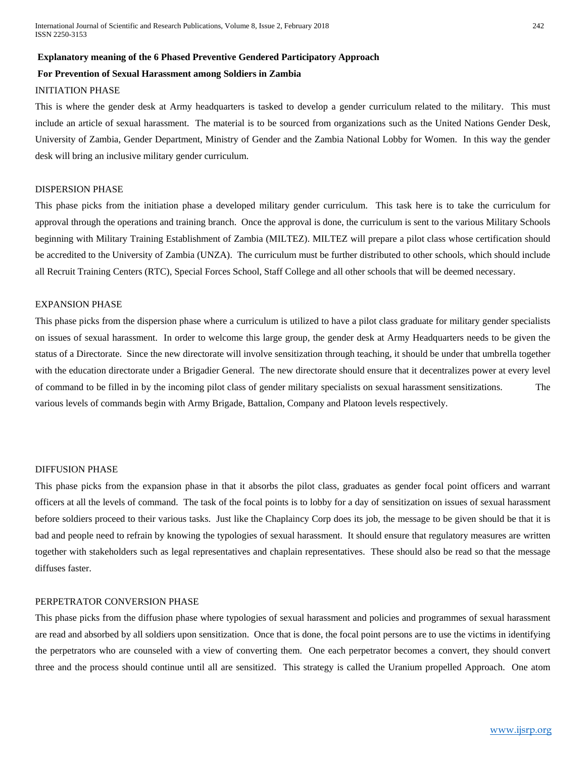### **Explanatory meaning of the 6 Phased Preventive Gendered Participatory Approach**

### **For Prevention of Sexual Harassment among Soldiers in Zambia**

# INITIATION PHASE

This is where the gender desk at Army headquarters is tasked to develop a gender curriculum related to the military. This must include an article of sexual harassment. The material is to be sourced from organizations such as the United Nations Gender Desk, University of Zambia, Gender Department, Ministry of Gender and the Zambia National Lobby for Women. In this way the gender desk will bring an inclusive military gender curriculum.

### DISPERSION PHASE

This phase picks from the initiation phase a developed military gender curriculum. This task here is to take the curriculum for approval through the operations and training branch. Once the approval is done, the curriculum is sent to the various Military Schools beginning with Military Training Establishment of Zambia (MILTEZ). MILTEZ will prepare a pilot class whose certification should be accredited to the University of Zambia (UNZA). The curriculum must be further distributed to other schools, which should include all Recruit Training Centers (RTC), Special Forces School, Staff College and all other schools that will be deemed necessary.

## EXPANSION PHASE

This phase picks from the dispersion phase where a curriculum is utilized to have a pilot class graduate for military gender specialists on issues of sexual harassment. In order to welcome this large group, the gender desk at Army Headquarters needs to be given the status of a Directorate. Since the new directorate will involve sensitization through teaching, it should be under that umbrella together with the education directorate under a Brigadier General. The new directorate should ensure that it decentralizes power at every level of command to be filled in by the incoming pilot class of gender military specialists on sexual harassment sensitizations. The various levels of commands begin with Army Brigade, Battalion, Company and Platoon levels respectively.

#### DIFFUSION PHASE

This phase picks from the expansion phase in that it absorbs the pilot class, graduates as gender focal point officers and warrant officers at all the levels of command. The task of the focal points is to lobby for a day of sensitization on issues of sexual harassment before soldiers proceed to their various tasks. Just like the Chaplaincy Corp does its job, the message to be given should be that it is bad and people need to refrain by knowing the typologies of sexual harassment. It should ensure that regulatory measures are written together with stakeholders such as legal representatives and chaplain representatives. These should also be read so that the message diffuses faster.

## PERPETRATOR CONVERSION PHASE

This phase picks from the diffusion phase where typologies of sexual harassment and policies and programmes of sexual harassment are read and absorbed by all soldiers upon sensitization. Once that is done, the focal point persons are to use the victims in identifying the perpetrators who are counseled with a view of converting them. One each perpetrator becomes a convert, they should convert three and the process should continue until all are sensitized. This strategy is called the Uranium propelled Approach. One atom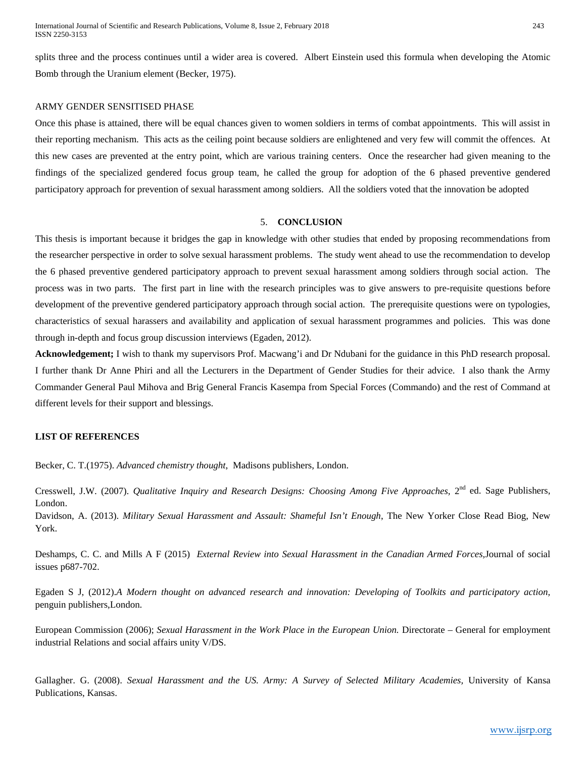splits three and the process continues until a wider area is covered. Albert Einstein used this formula when developing the Atomic Bomb through the Uranium element (Becker, 1975).

#### ARMY GENDER SENSITISED PHASE

Once this phase is attained, there will be equal chances given to women soldiers in terms of combat appointments. This will assist in their reporting mechanism. This acts as the ceiling point because soldiers are enlightened and very few will commit the offences. At this new cases are prevented at the entry point, which are various training centers. Once the researcher had given meaning to the findings of the specialized gendered focus group team, he called the group for adoption of the 6 phased preventive gendered participatory approach for prevention of sexual harassment among soldiers. All the soldiers voted that the innovation be adopted

#### 5. **CONCLUSION**

This thesis is important because it bridges the gap in knowledge with other studies that ended by proposing recommendations from the researcher perspective in order to solve sexual harassment problems. The study went ahead to use the recommendation to develop the 6 phased preventive gendered participatory approach to prevent sexual harassment among soldiers through social action. The process was in two parts. The first part in line with the research principles was to give answers to pre-requisite questions before development of the preventive gendered participatory approach through social action. The prerequisite questions were on typologies, characteristics of sexual harassers and availability and application of sexual harassment programmes and policies. This was done through in-depth and focus group discussion interviews (Egaden, 2012).

**Acknowledgement;** I wish to thank my supervisors Prof. Macwang'i and Dr Ndubani for the guidance in this PhD research proposal. I further thank Dr Anne Phiri and all the Lecturers in the Department of Gender Studies for their advice. I also thank the Army Commander General Paul Mihova and Brig General Francis Kasempa from Special Forces (Commando) and the rest of Command at different levels for their support and blessings.

#### **LIST OF REFERENCES**

Becker, C. T.(1975). *Advanced chemistry thought*, Madisons publishers, London.

Cresswell, J.W. (2007). *Qualitative Inquiry and Research Designs: Choosing Among Five Approaches*, 2<sup>nd</sup> ed. Sage Publishers, London.

Davidson, A. (2013). *Military Sexual Harassment and Assault: Shameful Isn't Enough*, The New Yorker Close Read Biog, New York.

Deshamps, C. C. and Mills A F (2015) *External Review into Sexual Harassment in the Canadian Armed Forces,*Journal of social issues p687-702.

Egaden S J, (2012).*A Modern thought on advanced research and innovation: Developing of Toolkits and participatory action,* penguin publishers,London.

European Commission (2006); *Sexual Harassment in the Work Place in the European Union.* Directorate – General for employment industrial Relations and social affairs unity V/DS.

Gallagher. G. (2008). *Sexual Harassment and the US. Army: A Survey of Selected Military Academies,* University of Kansa Publications, Kansas.